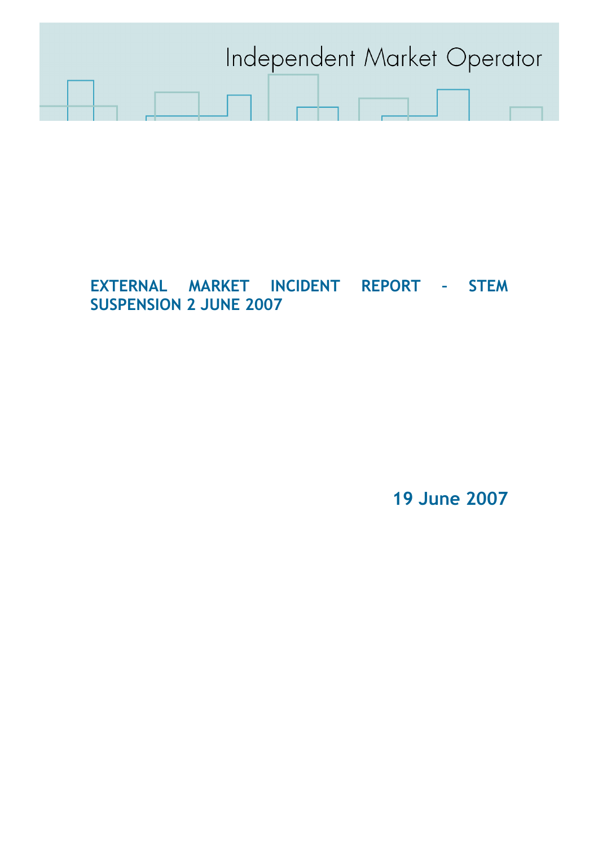

# EXTERNAL MARKET INCIDENT REPORT – STEM SUSPENSION 2 JUNE 2007

19 June 2007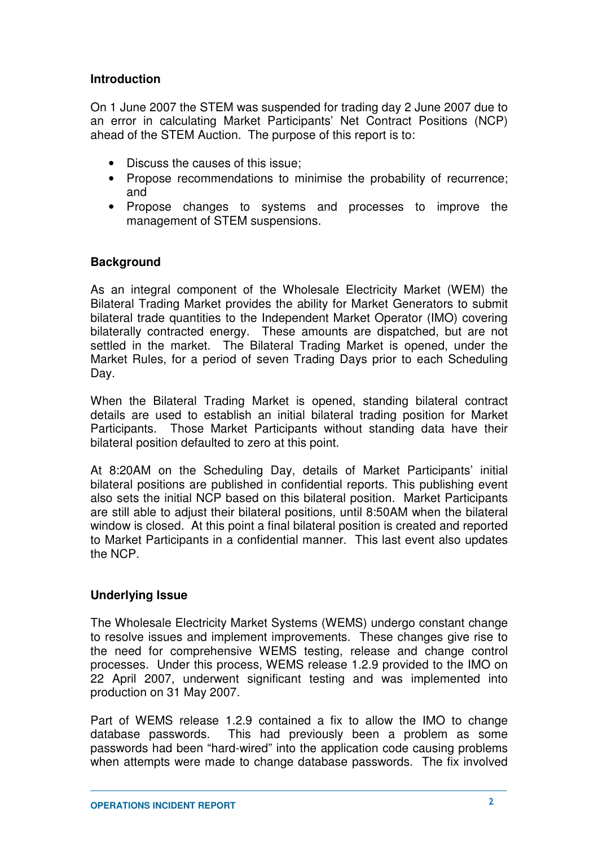## **Introduction**

On 1 June 2007 the STEM was suspended for trading day 2 June 2007 due to an error in calculating Market Participants' Net Contract Positions (NCP) ahead of the STEM Auction. The purpose of this report is to:

- Discuss the causes of this issue;
- Propose recommendations to minimise the probability of recurrence; and
- Propose changes to systems and processes to improve the management of STEM suspensions.

## **Background**

As an integral component of the Wholesale Electricity Market (WEM) the Bilateral Trading Market provides the ability for Market Generators to submit bilateral trade quantities to the Independent Market Operator (IMO) covering bilaterally contracted energy. These amounts are dispatched, but are not settled in the market. The Bilateral Trading Market is opened, under the Market Rules, for a period of seven Trading Days prior to each Scheduling Day.

When the Bilateral Trading Market is opened, standing bilateral contract details are used to establish an initial bilateral trading position for Market Participants. Those Market Participants without standing data have their bilateral position defaulted to zero at this point.

At 8:20AM on the Scheduling Day, details of Market Participants' initial bilateral positions are published in confidential reports. This publishing event also sets the initial NCP based on this bilateral position. Market Participants are still able to adjust their bilateral positions, until 8:50AM when the bilateral window is closed. At this point a final bilateral position is created and reported to Market Participants in a confidential manner. This last event also updates the NCP.

# **Underlying Issue**

The Wholesale Electricity Market Systems (WEMS) undergo constant change to resolve issues and implement improvements. These changes give rise to the need for comprehensive WEMS testing, release and change control processes. Under this process, WEMS release 1.2.9 provided to the IMO on 22 April 2007, underwent significant testing and was implemented into production on 31 May 2007.

Part of WEMS release 1.2.9 contained a fix to allow the IMO to change database passwords. This had previously been a problem as some passwords had been "hard-wired" into the application code causing problems when attempts were made to change database passwords. The fix involved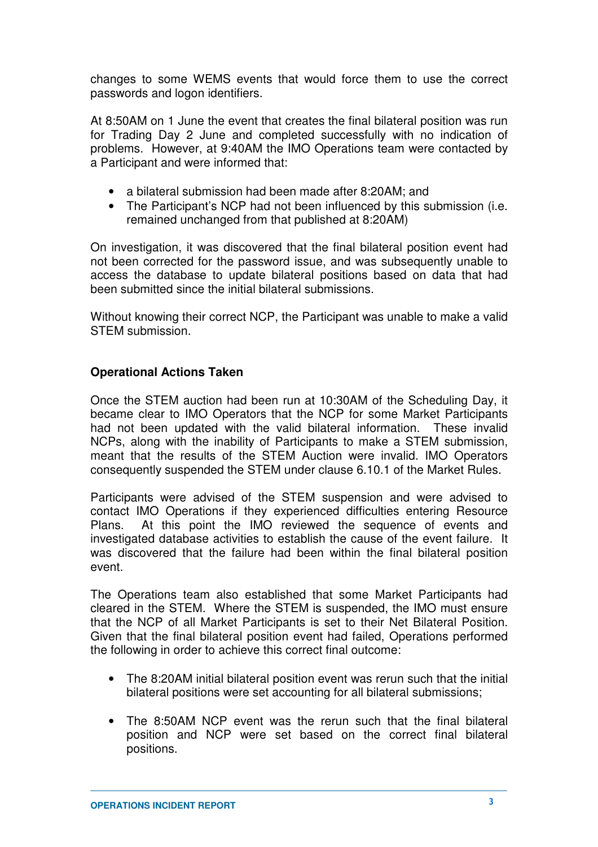changes to some WEMS events that would force them to use the correct passwords and logon identifiers.

At 8:50AM on 1 June the event that creates the final bilateral position was run for Trading Day 2 June and completed successfully with no indication of problems. However, at 9:40AM the IMO Operations team were contacted by a Participant and were informed that:

- a bilateral submission had been made after 8:20AM; and
- The Participant's NCP had not been influenced by this submission (i.e. remained unchanged from that published at 8:20AM)

On investigation, it was discovered that the final bilateral position event had not been corrected for the password issue, and was subsequently unable to access the database to update bilateral positions based on data that had been submitted since the initial bilateral submissions.

Without knowing their correct NCP, the Participant was unable to make a valid STEM submission.

# **Operational Actions Taken**

Once the STEM auction had been run at 10:30AM of the Scheduling Day, it became clear to IMO Operators that the NCP for some Market Participants had not been updated with the valid bilateral information. These invalid NCPs, along with the inability of Participants to make a STEM submission, meant that the results of the STEM Auction were invalid. IMO Operators consequently suspended the STEM under clause 6.10.1 of the Market Rules.

Participants were advised of the STEM suspension and were advised to contact IMO Operations if they experienced difficulties entering Resource Plans. At this point the IMO reviewed the sequence of events and investigated database activities to establish the cause of the event failure. It was discovered that the failure had been within the final bilateral position event.

The Operations team also established that some Market Participants had cleared in the STEM. Where the STEM is suspended, the IMO must ensure that the NCP of all Market Participants is set to their Net Bilateral Position. Given that the final bilateral position event had failed, Operations performed the following in order to achieve this correct final outcome:

- The 8:20AM initial bilateral position event was rerun such that the initial bilateral positions were set accounting for all bilateral submissions;
- The 8:50AM NCP event was the rerun such that the final bilateral position and NCP were set based on the correct final bilateral positions.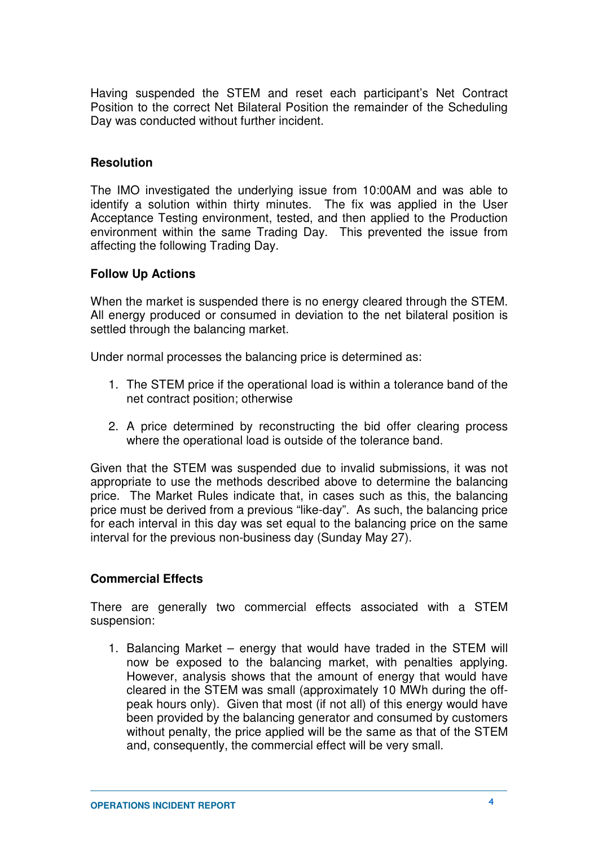Having suspended the STEM and reset each participant's Net Contract Position to the correct Net Bilateral Position the remainder of the Scheduling Day was conducted without further incident.

#### **Resolution**

The IMO investigated the underlying issue from 10:00AM and was able to identify a solution within thirty minutes. The fix was applied in the User Acceptance Testing environment, tested, and then applied to the Production environment within the same Trading Day. This prevented the issue from affecting the following Trading Day.

#### **Follow Up Actions**

When the market is suspended there is no energy cleared through the STEM. All energy produced or consumed in deviation to the net bilateral position is settled through the balancing market.

Under normal processes the balancing price is determined as:

- 1. The STEM price if the operational load is within a tolerance band of the net contract position; otherwise
- 2. A price determined by reconstructing the bid offer clearing process where the operational load is outside of the tolerance band.

Given that the STEM was suspended due to invalid submissions, it was not appropriate to use the methods described above to determine the balancing price. The Market Rules indicate that, in cases such as this, the balancing price must be derived from a previous "like-day". As such, the balancing price for each interval in this day was set equal to the balancing price on the same interval for the previous non-business day (Sunday May 27).

#### **Commercial Effects**

There are generally two commercial effects associated with a STEM suspension:

1. Balancing Market – energy that would have traded in the STEM will now be exposed to the balancing market, with penalties applying. However, analysis shows that the amount of energy that would have cleared in the STEM was small (approximately 10 MWh during the offpeak hours only). Given that most (if not all) of this energy would have been provided by the balancing generator and consumed by customers without penalty, the price applied will be the same as that of the STEM and, consequently, the commercial effect will be very small.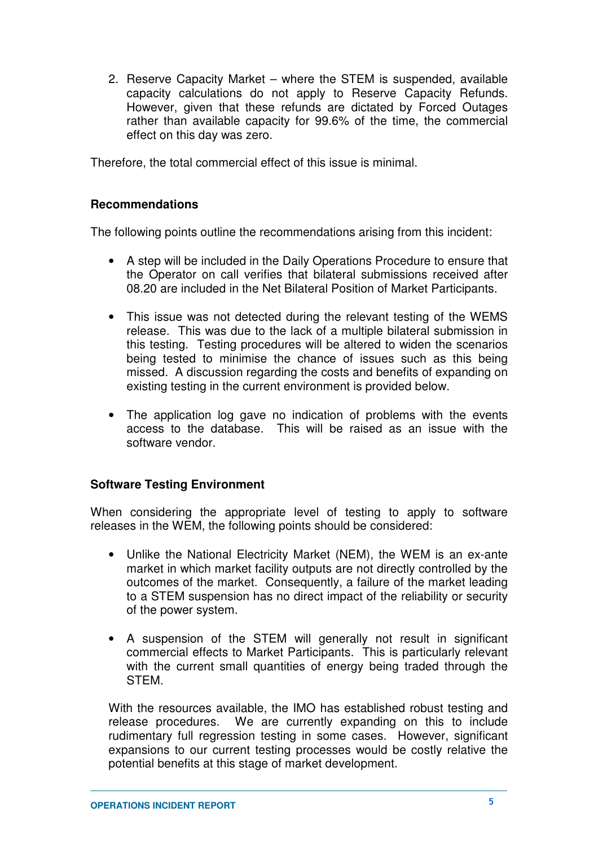2. Reserve Capacity Market – where the STEM is suspended, available capacity calculations do not apply to Reserve Capacity Refunds. However, given that these refunds are dictated by Forced Outages rather than available capacity for 99.6% of the time, the commercial effect on this day was zero.

Therefore, the total commercial effect of this issue is minimal.

#### **Recommendations**

The following points outline the recommendations arising from this incident:

- A step will be included in the Daily Operations Procedure to ensure that the Operator on call verifies that bilateral submissions received after 08.20 are included in the Net Bilateral Position of Market Participants.
- This issue was not detected during the relevant testing of the WEMS release. This was due to the lack of a multiple bilateral submission in this testing. Testing procedures will be altered to widen the scenarios being tested to minimise the chance of issues such as this being missed. A discussion regarding the costs and benefits of expanding on existing testing in the current environment is provided below.
- The application log gave no indication of problems with the events access to the database. This will be raised as an issue with the software vendor.

#### **Software Testing Environment**

When considering the appropriate level of testing to apply to software releases in the WEM, the following points should be considered:

- Unlike the National Electricity Market (NEM), the WEM is an ex-ante market in which market facility outputs are not directly controlled by the outcomes of the market. Consequently, a failure of the market leading to a STEM suspension has no direct impact of the reliability or security of the power system.
- A suspension of the STEM will generally not result in significant commercial effects to Market Participants. This is particularly relevant with the current small quantities of energy being traded through the STEM.

With the resources available, the IMO has established robust testing and release procedures. We are currently expanding on this to include rudimentary full regression testing in some cases. However, significant expansions to our current testing processes would be costly relative the potential benefits at this stage of market development.